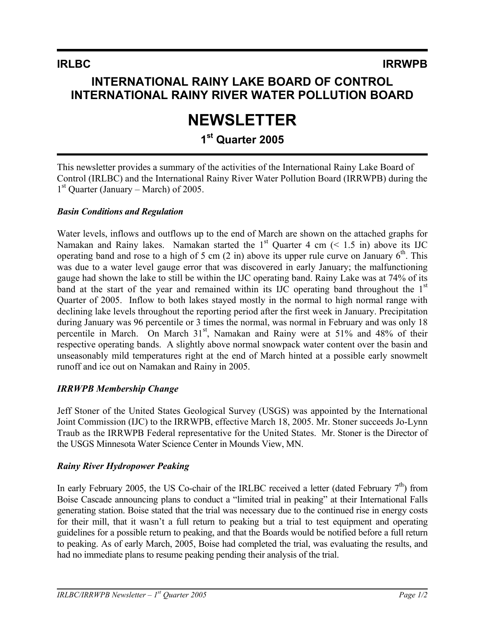# **INTERNATIONAL RAINY LAKE BOARD OF CONTROL INTERNATIONAL RAINY RIVER WATER POLLUTION BOARD**

# **NEWSLETTER**

# **1st Quarter 2005**

This newsletter provides a summary of the activities of the International Rainy Lake Board of Control (IRLBC) and the International Rainy River Water Pollution Board (IRRWPB) during the  $1<sup>st</sup>$  Quarter (January – March) of 2005.

## *Basin Conditions and Regulation*

Water levels, inflows and outflows up to the end of March are shown on the attached graphs for Namakan and Rainy lakes. Namakan started the  $1<sup>st</sup>$  Quarter 4 cm (< 1.5 in) above its IJC operating band and rose to a high of 5 cm  $(2 \text{ in})$  above its upper rule curve on January  $6^{\text{th}}$ . This was due to a water level gauge error that was discovered in early January; the malfunctioning gauge had shown the lake to still be within the IJC operating band. Rainy Lake was at 74% of its band at the start of the year and remained within its IJC operating band throughout the  $1<sup>st</sup>$ Quarter of 2005. Inflow to both lakes stayed mostly in the normal to high normal range with declining lake levels throughout the reporting period after the first week in January. Precipitation during January was 96 percentile or 3 times the normal, was normal in February and was only 18 percentile in March. On March 31<sup>st</sup>, Namakan and Rainy were at 51% and 48% of their respective operating bands. A slightly above normal snowpack water content over the basin and unseasonably mild temperatures right at the end of March hinted at a possible early snowmelt runoff and ice out on Namakan and Rainy in 2005.

## *IRRWPB Membership Change*

Jeff Stoner of the United States Geological Survey (USGS) was appointed by the International Joint Commission (IJC) to the IRRWPB, effective March 18, 2005. Mr. Stoner succeeds Jo-Lynn Traub as the IRRWPB Federal representative for the United States. Mr. Stoner is the Director of the USGS Minnesota Water Science Center in Mounds View, MN.

## *Rainy River Hydropower Peaking*

In early February 2005, the US Co-chair of the IRLBC received a letter (dated February  $7<sup>th</sup>$ ) from Boise Cascade announcing plans to conduct a "limited trial in peaking" at their International Falls generating station. Boise stated that the trial was necessary due to the continued rise in energy costs for their mill, that it wasn't a full return to peaking but a trial to test equipment and operating guidelines for a possible return to peaking, and that the Boards would be notified before a full return to peaking. As of early March, 2005, Boise had completed the trial, was evaluating the results, and had no immediate plans to resume peaking pending their analysis of the trial.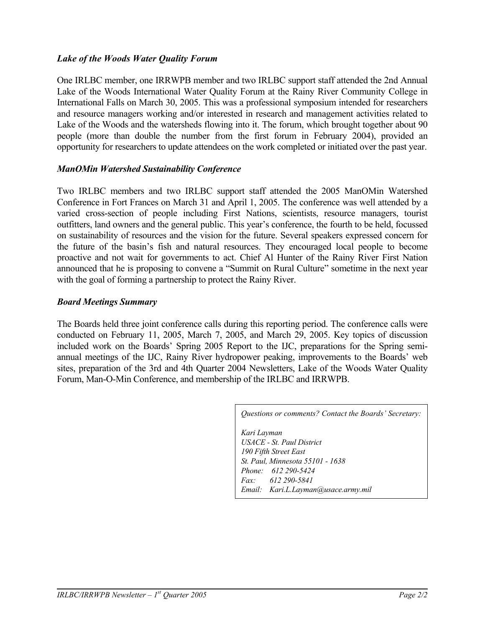#### *Lake of the Woods Water Quality Forum*

One IRLBC member, one IRRWPB member and two IRLBC support staff attended the 2nd Annual Lake of the Woods International Water Quality Forum at the Rainy River Community College in International Falls on March 30, 2005. This was a professional symposium intended for researchers and resource managers working and/or interested in research and management activities related to Lake of the Woods and the watersheds flowing into it. The forum, which brought together about 90 people (more than double the number from the first forum in February 2004), provided an opportunity for researchers to update attendees on the work completed or initiated over the past year.

#### *ManOMin Watershed Sustainability Conference*

Two IRLBC members and two IRLBC support staff attended the 2005 ManOMin Watershed Conference in Fort Frances on March 31 and April 1, 2005. The conference was well attended by a varied cross-section of people including First Nations, scientists, resource managers, tourist outfitters, land owners and the general public. This year's conference, the fourth to be held, focussed on sustainability of resources and the vision for the future. Several speakers expressed concern for the future of the basin's fish and natural resources. They encouraged local people to become proactive and not wait for governments to act. Chief Al Hunter of the Rainy River First Nation announced that he is proposing to convene a "Summit on Rural Culture" sometime in the next year with the goal of forming a partnership to protect the Rainy River.

#### *Board Meetings Summary*

The Boards held three joint conference calls during this reporting period. The conference calls were conducted on February 11, 2005, March 7, 2005, and March 29, 2005. Key topics of discussion included work on the Boards' Spring 2005 Report to the IJC, preparations for the Spring semiannual meetings of the IJC, Rainy River hydropower peaking, improvements to the Boards' web sites, preparation of the 3rd and 4th Quarter 2004 Newsletters, Lake of the Woods Water Quality Forum, Man-O-Min Conference, and membership of the IRLBC and IRRWPB.

*Questions or comments? Contact the Boards' Secretary:*

*Kari Layman USACE - St. Paul District 190 Fifth Street East St. Paul, Minnesota 55101 - 1638 Phone: 612 290-5424 Fax: 612 290-5841 Email: Kari.L.Layman@usace.army.mil*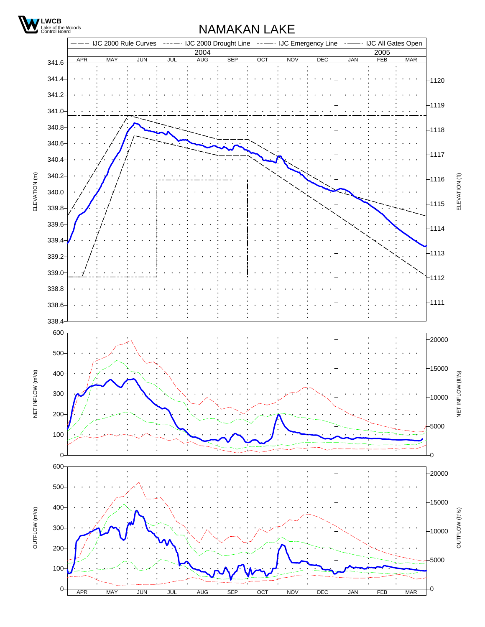